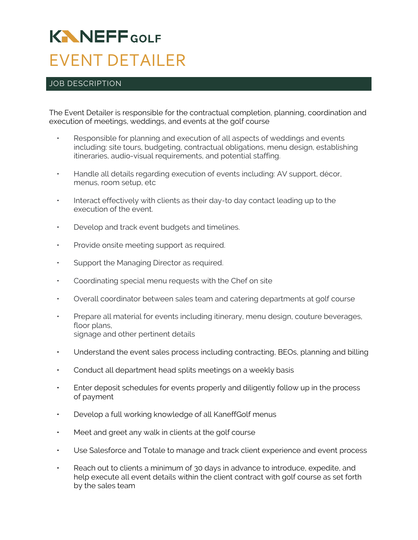## **KNNEFF**GOLF EVENT DETAILER

## JOB DESCRIPTION

The Event Detailer is responsible for the contractual completion, planning, coordination and execution of meetings, weddings, and events at the golf course

- Responsible for planning and execution of all aspects of weddings and events including: site tours, budgeting, contractual obligations, menu design, establishing itineraries, audio-visual requirements, and potential staffing.
- Handle all details regarding execution of events including: AV support, décor, menus, room setup, etc
- Interact effectively with clients as their day-to day contact leading up to the execution of the event.
- Develop and track event budgets and timelines.
- Provide onsite meeting support as required.
- Support the Managing Director as required.
- Coordinating special menu requests with the Chef on site
- Overall coordinator between sales team and catering departments at golf course
- Prepare all material for events including itinerary, menu design, couture beverages, floor plans, signage and other pertinent details
- Understand the event sales process including contracting, BEOs, planning and billing
- Conduct all department head splits meetings on a weekly basis
- Enter deposit schedules for events properly and diligently follow up in the process of payment
- Develop a full working knowledge of all KaneffGolf menus
- Meet and greet any walk in clients at the golf course
- Use Salesforce and Totale to manage and track client experience and event process
- Reach out to clients a minimum of 30 days in advance to introduce, expedite, and help execute all event details within the client contract with golf course as set forth by the sales team